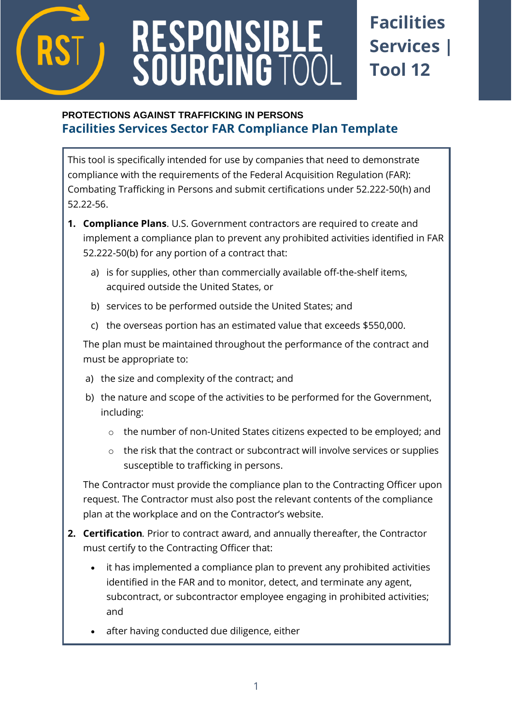

# RESPONSIBLE<br>SOURCING TOOI

## **Facilities Services | Tool 12**

### **PROTECTIONS AGAINST TRAFFICKING IN PERSONS Facilities Services Sector FAR Compliance Plan Template**

This tool is specifically intended for use by companies that need to demonstrate compliance with the requirements of the Federal Acquisition Regulation (FAR): Combating Trafficking in Persons and submit certifications under 52.222-50(h) and 52.22-56.

- **1. Compliance Plans**. U.S. Government contractors are required to create and implement a compliance plan to prevent any prohibited activities identified in FAR 52.222-50(b) for any portion of a contract that:
	- a) is for supplies, other than commercially available off-the-shelf items, acquired outside the United States, or
	- b) services to be performed outside the United States; and
	- c) the overseas portion has an estimated value that exceeds \$550,000.

The plan must be maintained throughout the performance of the contract and must be appropriate to:

- a) the size and complexity of the contract; and
- b) the nature and scope of the activities to be performed for the Government, including:
	- o the number of non-United States citizens expected to be employed; and
	- o the risk that the contract or subcontract will involve services or supplies susceptible to trafficking in persons.

The Contractor must provide the compliance plan to the Contracting Officer upon request. The Contractor must also post the relevant contents of the compliance plan at the workplace and on the Contractor's website.

- **2. Certification***.* Prior to contract award, and annually thereafter, the Contractor must certify to the Contracting Officer that:
	- it has implemented a compliance plan to prevent any prohibited activities identified in the FAR and to monitor, detect, and terminate any agent, subcontract, or subcontractor employee engaging in prohibited activities; and
	- after having conducted due diligence, either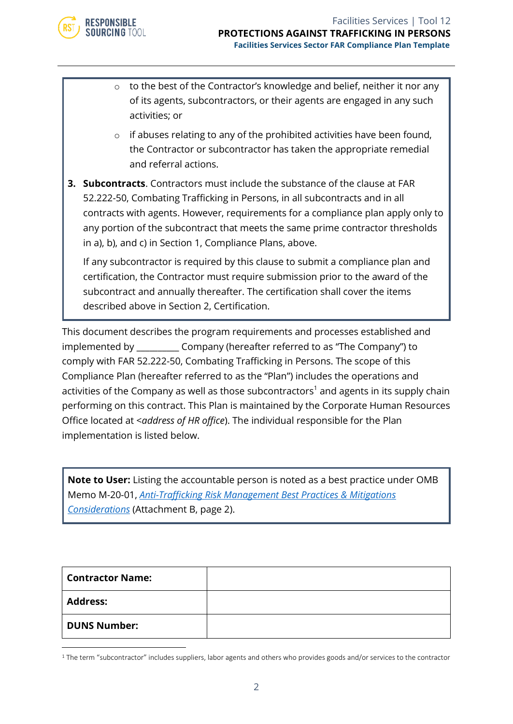

- o to the best of the Contractor's knowledge and belief, neither it nor any of its agents, subcontractors, or their agents are engaged in any such activities; or
- o if abuses relating to any of the prohibited activities have been found, the Contractor or subcontractor has taken the appropriate remedial and referral actions.

**3. Subcontracts**. Contractors must include the substance of the clause at FAR 52.222-50, Combating Trafficking in Persons, in all subcontracts and in all contracts with agents. However, requirements for a compliance plan apply only to any portion of the subcontract that meets the same prime contractor thresholds in a), b), and c) in Section 1, Compliance Plans, above.

If any subcontractor is required by this clause to submit a compliance plan and certification, the Contractor must require submission prior to the award of the subcontract and annually thereafter. The certification shall cover the items described above in Section 2, Certification.

This document describes the program requirements and processes established and implemented by \_\_\_\_\_\_\_\_\_\_ Company (hereafter referred to as "The Company") to comply with FAR 52.222-50, Combating Trafficking in Persons. The scope of this Compliance Plan (hereafter referred to as the "Plan") includes the operations and activities of the Company as well as those subcontractors<sup>1</sup> and agents in its supply chain performing on this contract. This Plan is maintained by the Corporate Human Resources Office located at <*address of HR office*). The individual responsible for the Plan implementation is listed below.

**Note to User:** Listing the accountable person is noted as a best practice under OMB Memo M-20-01, *[Anti-Trafficking Risk Management Best Practices & Mitigations](https://www.whitehouse.gov/wp-content/uploads/2019/10/M-20-01.pdf)  [Considerations](https://www.whitehouse.gov/wp-content/uploads/2019/10/M-20-01.pdf)* (Attachment B, page 2).

| <b>Contractor Name:</b> |  |
|-------------------------|--|
| <b>Address:</b>         |  |
| <b>DUNS Number:</b>     |  |

<sup>&</sup>lt;sup>1</sup> The term "subcontractor" includes suppliers, labor agents and others who provides goods and/or services to the contractor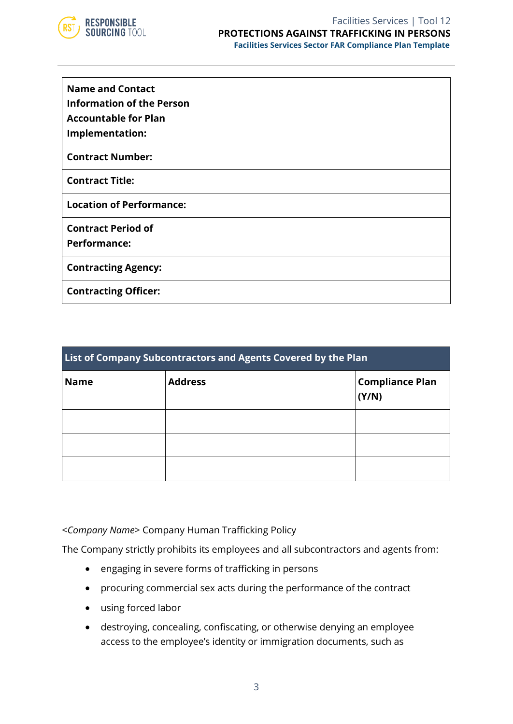

| <b>Name and Contact</b><br><b>Information of the Person</b><br><b>Accountable for Plan</b><br>Implementation: |  |
|---------------------------------------------------------------------------------------------------------------|--|
| <b>Contract Number:</b>                                                                                       |  |
| <b>Contract Title:</b>                                                                                        |  |
| <b>Location of Performance:</b>                                                                               |  |
| <b>Contract Period of</b><br><b>Performance:</b>                                                              |  |
| <b>Contracting Agency:</b>                                                                                    |  |
| <b>Contracting Officer:</b>                                                                                   |  |

| List of Company Subcontractors and Agents Covered by the Plan |                |                                 |  |  |
|---------------------------------------------------------------|----------------|---------------------------------|--|--|
| <b>Name</b>                                                   | <b>Address</b> | <b>Compliance Plan</b><br>(Y/N) |  |  |
|                                                               |                |                                 |  |  |
|                                                               |                |                                 |  |  |
|                                                               |                |                                 |  |  |

<*Company Name*> Company Human Trafficking Policy

The Company strictly prohibits its employees and all subcontractors and agents from:

- engaging in severe forms of trafficking in persons
- procuring commercial sex acts during the performance of the contract
- using forced labor
- destroying, concealing, confiscating, or otherwise denying an employee access to the employee's identity or immigration documents, such as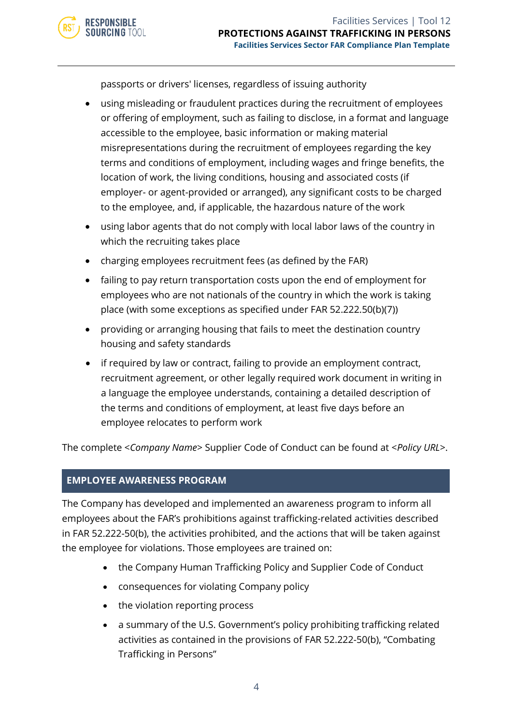passports or drivers' licenses, regardless of issuing authority

- using misleading or fraudulent practices during the recruitment of employees or offering of employment, such as failing to disclose, in a format and language accessible to the employee, basic information or making material misrepresentations during the recruitment of employees regarding the key terms and conditions of employment, including wages and fringe benefits, the location of work, the living conditions, housing and associated costs (if employer- or agent-provided or arranged), any significant costs to be charged to the employee, and, if applicable, the hazardous nature of the work
- using labor agents that do not comply with local labor laws of the country in which the recruiting takes place
- charging employees recruitment fees (as defined by the FAR)
- failing to pay return transportation costs upon the end of employment for employees who are not nationals of the country in which the work is taking place (with some exceptions as specified under FAR 52.222.50(b)(7))
- providing or arranging housing that fails to meet the destination country housing and safety standards
- if required by law or contract, failing to provide an employment contract, recruitment agreement, or other legally required work document in writing in a language the employee understands, containing a detailed description of the terms and conditions of employment, at least five days before an employee relocates to perform work

The complete <*Company Name*> Supplier Code of Conduct can be found at <*Policy URL*>.

#### **EMPLOYEE AWARENESS PROGRAM**

**RESPONSIBLE SOURCING TOOL** 

The Company has developed and implemented an awareness program to inform all employees about the FAR's prohibitions against trafficking-related activities described in FAR 52.222-50(b), the activities prohibited, and the actions that will be taken against the employee for violations. Those employees are trained on:

- the Company Human Trafficking Policy and Supplier Code of Conduct
- consequences for violating Company policy
- the violation reporting process
- a summary of the U.S. Government's policy prohibiting trafficking related activities as contained in the provisions of FAR 52.222-50(b), "Combating Trafficking in Persons"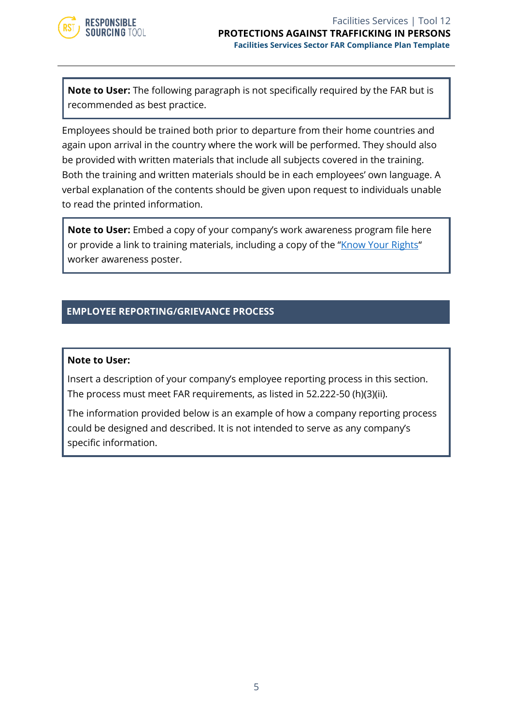

**Note to User:** The following paragraph is not specifically required by the FAR but is recommended as best practice.

Employees should be trained both prior to departure from their home countries and again upon arrival in the country where the work will be performed. They should also be provided with written materials that include all subjects covered in the training. Both the training and written materials should be in each employees' own language. A verbal explanation of the contents should be given upon request to individuals unable to read the printed information.

**Note to User:** Embed a copy of your company's work awareness program file here or provide a link to training materials, including a copy of the "*[Know Your Rights](https://www.responsiblesourcingtool.org/uploads/compliance_portal_attachment/file/4/Fed_Procurement_poster-FINAL.pdf)"* worker awareness poster.

#### **EMPLOYEE REPORTING/GRIEVANCE PROCESS**

#### **Note to User:**

Insert a description of your company's employee reporting process in this section. The process must meet FAR requirements, as listed in 52.222-50 (h)(3)(ii).

The information provided below is an example of how a company reporting process could be designed and described. It is not intended to serve as any company's specific information.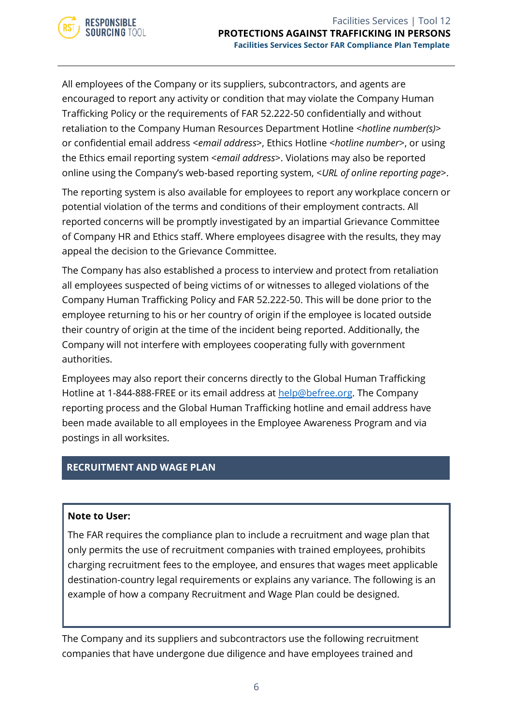

All employees of the Company or its suppliers, subcontractors, and agents are encouraged to report any activity or condition that may violate the Company Human Trafficking Policy or the requirements of FAR 52.222-50 confidentially and without retaliation to the Company Human Resources Department Hotline <*hotline number(s)*> or confidential email address <*email address*>, Ethics Hotline <*hotline number*>, or using the Ethics email reporting system <*email address*>. Violations may also be reported online using the Company's web-based reporting system, <*URL of online reporting page*>.

The reporting system is also available for employees to report any workplace concern or potential violation of the terms and conditions of their employment contracts. All reported concerns will be promptly investigated by an impartial Grievance Committee of Company HR and Ethics staff. Where employees disagree with the results, they may appeal the decision to the Grievance Committee.

The Company has also established a process to interview and protect from retaliation all employees suspected of being victims of or witnesses to alleged violations of the Company Human Trafficking Policy and FAR 52.222-50. This will be done prior to the employee returning to his or her country of origin if the employee is located outside their country of origin at the time of the incident being reported. Additionally, the Company will not interfere with employees cooperating fully with government authorities.

Employees may also report their concerns directly to the Global Human Trafficking Hotline at 1-844-888-FREE or its email address at [help@befree.org.](file://///SharePoint/SharePoint/Research/Government%20&%20IO/USJTIP/7%20Responsible%20Sourcing%20Tool%20Sept%202016/19.%2020221-22%20Extension%20Updates%20and%20Refresh/5%20Facilities%20Services%20Tools/help@befree.org) The Company reporting process and the Global Human Trafficking hotline and email address have been made available to all employees in the Employee Awareness Program and via postings in all worksites.

#### **RECRUITMENT AND WAGE PLAN**

#### **Note to User:**

The FAR requires the compliance plan to include a recruitment and wage plan that only permits the use of recruitment companies with trained employees, prohibits charging recruitment fees to the employee, and ensures that wages meet applicable destination-country legal requirements or explains any variance. The following is an example of how a company Recruitment and Wage Plan could be designed.

The Company and its suppliers and subcontractors use the following recruitment companies that have undergone due diligence and have employees trained and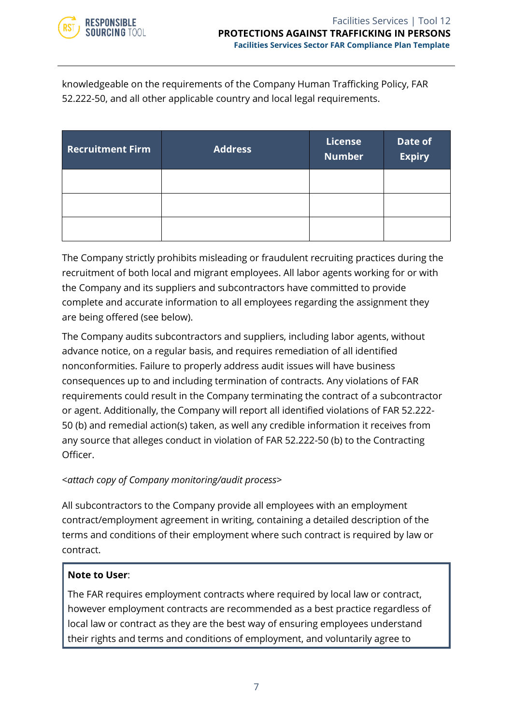

knowledgeable on the requirements of the Company Human Trafficking Policy, FAR 52.222-50, and all other applicable country and local legal requirements.

| <b>Recruitment Firm</b> | <b>Address</b> | License<br><b>Number</b> | Date of<br><b>Expiry</b> |
|-------------------------|----------------|--------------------------|--------------------------|
|                         |                |                          |                          |
|                         |                |                          |                          |
|                         |                |                          |                          |

The Company strictly prohibits misleading or fraudulent recruiting practices during the recruitment of both local and migrant employees. All labor agents working for or with the Company and its suppliers and subcontractors have committed to provide complete and accurate information to all employees regarding the assignment they are being offered (see below).

The Company audits subcontractors and suppliers, including labor agents, without advance notice, on a regular basis, and requires remediation of all identified nonconformities. Failure to properly address audit issues will have business consequences up to and including termination of contracts. Any violations of FAR requirements could result in the Company terminating the contract of a subcontractor or agent. Additionally, the Company will report all identified violations of FAR 52.222- 50 (b) and remedial action(s) taken, as well any credible information it receives from any source that alleges conduct in violation of FAR 52.222-50 (b) to the Contracting Officer.

#### <*attach copy of Company monitoring/audit process*>

All subcontractors to the Company provide all employees with an employment contract/employment agreement in writing, containing a detailed description of the terms and conditions of their employment where such contract is required by law or contract.

#### **Note to User**:

The FAR requires employment contracts where required by local law or contract, however employment contracts are recommended as a best practice regardless of local law or contract as they are the best way of ensuring employees understand their rights and terms and conditions of employment, and voluntarily agree to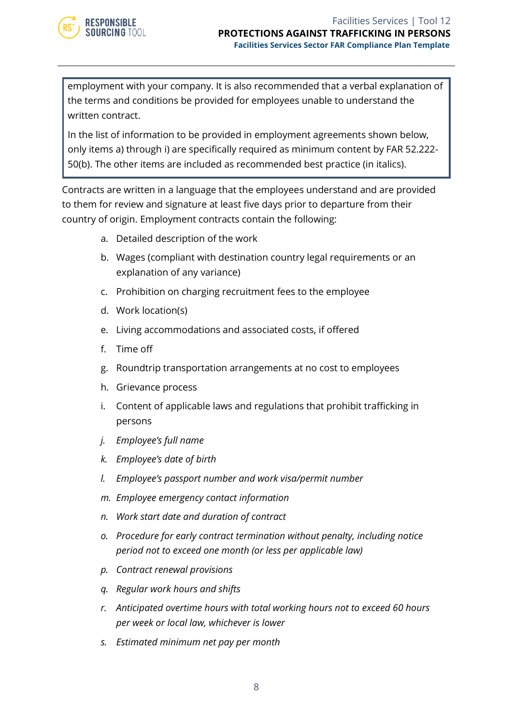

employment with your company. It is also recommended that a verbal explanation of the terms and conditions be provided for employees unable to understand the written contract.

In the list of information to be provided in employment agreements shown below, only items a) through i) are specifically required as minimum content by FAR 52.222- 50(b). The other items are included as recommended best practice (in italics).

Contracts are written in a language that the employees understand and are provided to them for review and signature at least five days prior to departure from their country of origin. Employment contracts contain the following:

- a. Detailed description of the work
- b. Wages (compliant with destination country legal requirements or an explanation of any variance)
- c. Prohibition on charging recruitment fees to the employee
- d. Work location(s)
- e. Living accommodations and associated costs, if offered
- f. Time off
- g. Roundtrip transportation arrangements at no cost to employees
- h. Grievance process
- i. Content of applicable laws and regulations that prohibit trafficking in persons
- *j. Employee's full name*
- *k. Employee's date of birth*
- *l. Employee's passport number and work visa/permit number*
- *m. Employee emergency contact information*
- *n. Work start date and duration of contract*
- *o. Procedure for early contract termination without penalty, including notice period not to exceed one month (or less per applicable law)*
- *p. Contract renewal provisions*
- *q. Regular work hours and shifts*
- *r. Anticipated overtime hours with total working hours not to exceed 60 hours per week or local law, whichever is lower*
- *s. Estimated minimum net pay per month*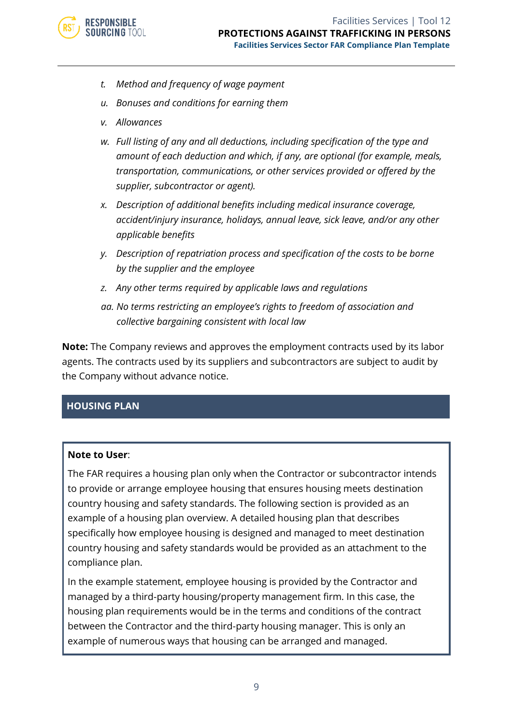- *t. Method and frequency of wage payment*
- *u. Bonuses and conditions for earning them*
- *v. Allowances*
- *w. Full listing of any and all deductions, including specification of the type and amount of each deduction and which, if any, are optional (for example, meals, transportation, communications, or other services provided or offered by the supplier, subcontractor or agent).*
- *x. Description of additional benefits including medical insurance coverage, accident/injury insurance, holidays, annual leave, sick leave, and/or any other applicable benefits*
- *y. Description of repatriation process and specification of the costs to be borne by the supplier and the employee*
- *z. Any other terms required by applicable laws and regulations*
- *aa. No terms restricting an employee's rights to freedom of association and collective bargaining consistent with local law*

**Note:** The Company reviews and approves the employment contracts used by its labor agents. The contracts used by its suppliers and subcontractors are subject to audit by the Company without advance notice.

#### **HOUSING PLAN**

#### **Note to User**:

The FAR requires a housing plan only when the Contractor or subcontractor intends to provide or arrange employee housing that ensures housing meets destination country housing and safety standards. The following section is provided as an example of a housing plan overview. A detailed housing plan that describes specifically how employee housing is designed and managed to meet destination country housing and safety standards would be provided as an attachment to the compliance plan.

In the example statement, employee housing is provided by the Contractor and managed by a third-party housing/property management firm. In this case, the housing plan requirements would be in the terms and conditions of the contract between the Contractor and the third-party housing manager. This is only an example of numerous ways that housing can be arranged and managed.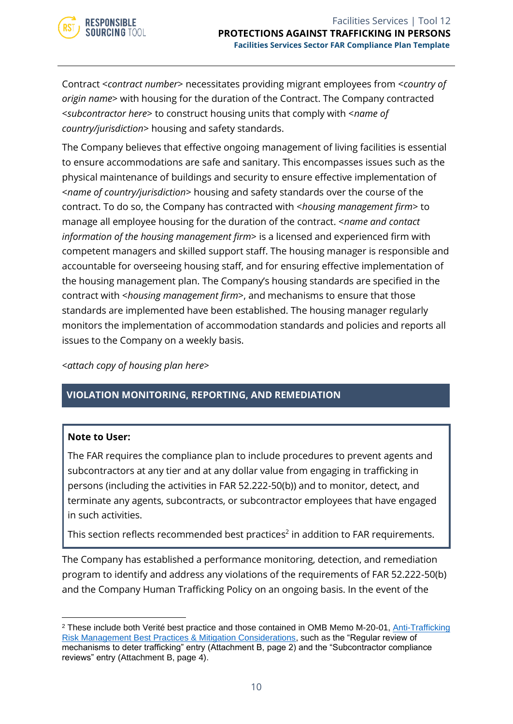

Contract <*contract number*> necessitates providing migrant employees from <*country of origin name*> with housing for the duration of the Contract. The Company contracted <*subcontractor here*> to construct housing units that comply with <*name of country/jurisdiction*> housing and safety standards.

The Company believes that effective ongoing management of living facilities is essential to ensure accommodations are safe and sanitary. This encompasses issues such as the physical maintenance of buildings and security to ensure effective implementation of <*name of country/jurisdiction*> housing and safety standards over the course of the contract. To do so, the Company has contracted with <*housing management firm*> to manage all employee housing for the duration of the contract. <*name and contact information of the housing management firm*> is a licensed and experienced firm with competent managers and skilled support staff. The housing manager is responsible and accountable for overseeing housing staff, and for ensuring effective implementation of the housing management plan. The Company's housing standards are specified in the contract with <*housing management firm*>, and mechanisms to ensure that those standards are implemented have been established. The housing manager regularly monitors the implementation of accommodation standards and policies and reports all issues to the Company on a weekly basis.

*<attach copy of housing plan here>*

#### **VIOLATION MONITORING, REPORTING, AND REMEDIATION**

#### **Note to User:**

The FAR requires the compliance plan to include procedures to prevent agents and subcontractors at any tier and at any dollar value from engaging in trafficking in persons (including the activities in FAR 52.222-50(b)) and to monitor, detect, and terminate any agents, subcontracts, or subcontractor employees that have engaged in such activities.

This section reflects recommended best practices $^2$  in addition to FAR requirements.

The Company has established a performance monitoring, detection, and remediation program to identify and address any violations of the requirements of FAR 52.222-50(b) and the Company Human Trafficking Policy on an ongoing basis. In the event of the

<sup>2</sup> These include both Verité best practice and those contained in OMB Memo M-20-01, [Anti-Trafficking](https://www.whitehouse.gov/wp-content/uploads/2019/10/M-20-01.pdf)  [Risk Management Best Practices & Mitigation Considerations,](https://www.whitehouse.gov/wp-content/uploads/2019/10/M-20-01.pdf) such as the "Regular review of mechanisms to deter trafficking" entry (Attachment B, page 2) and the "Subcontractor compliance reviews" entry (Attachment B, page 4).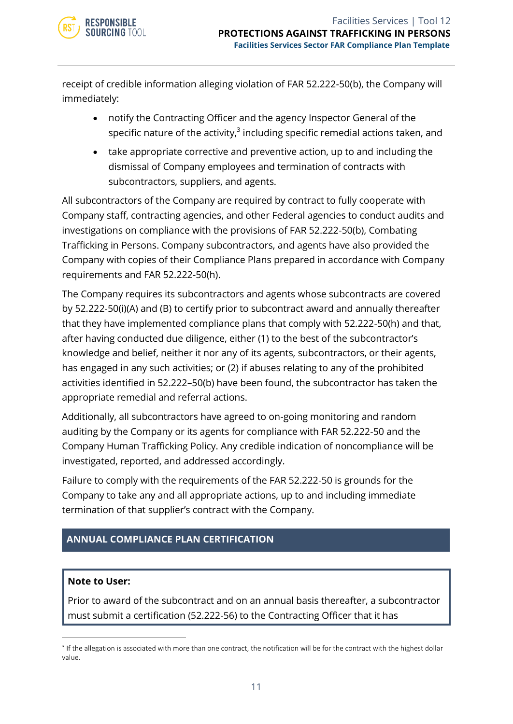

receipt of credible information alleging violation of FAR 52.222-50(b), the Company will immediately:

- notify the Contracting Officer and the agency Inspector General of the specific nature of the activity, $^3$  including specific remedial actions taken, and
- take appropriate corrective and preventive action, up to and including the dismissal of Company employees and termination of contracts with subcontractors, suppliers, and agents.

All subcontractors of the Company are required by contract to fully cooperate with Company staff, contracting agencies, and other Federal agencies to conduct audits and investigations on compliance with the provisions of FAR 52.222-50(b), Combating Trafficking in Persons. Company subcontractors, and agents have also provided the Company with copies of their Compliance Plans prepared in accordance with Company requirements and FAR 52.222-50(h).

The Company requires its subcontractors and agents whose subcontracts are covered by 52.222-50(i)(A) and (B) to certify prior to subcontract award and annually thereafter that they have implemented compliance plans that comply with 52.222-50(h) and that, after having conducted due diligence, either (1) to the best of the subcontractor's knowledge and belief, neither it nor any of its agents, subcontractors, or their agents, has engaged in any such activities; or (2) if abuses relating to any of the prohibited activities identified in 52.222–50(b) have been found, the subcontractor has taken the appropriate remedial and referral actions.

Additionally, all subcontractors have agreed to on-going monitoring and random auditing by the Company or its agents for compliance with FAR 52.222-50 and the Company Human Trafficking Policy. Any credible indication of noncompliance will be investigated, reported, and addressed accordingly.

Failure to comply with the requirements of the FAR 52.222-50 is grounds for the Company to take any and all appropriate actions, up to and including immediate termination of that supplier's contract with the Company.

#### **ANNUAL COMPLIANCE PLAN CERTIFICATION**

#### **Note to User:**

Prior to award of the subcontract and on an annual basis thereafter, a subcontractor must submit a certification (52.222-56) to the Contracting Officer that it has

<sup>&</sup>lt;sup>3</sup> If the allegation is associated with more than one contract, the notification will be for the contract with the highest dollar value.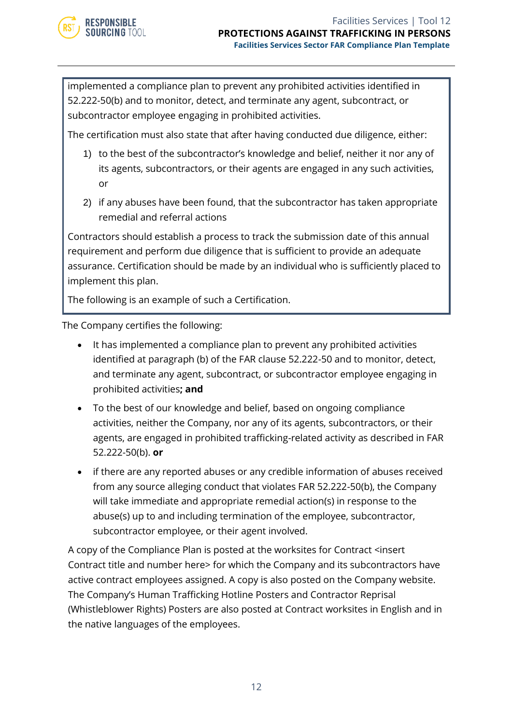

implemented a compliance plan to prevent any prohibited activities identified in 52.222-50(b) and to monitor, detect, and terminate any agent, subcontract, or subcontractor employee engaging in prohibited activities.

The certification must also state that after having conducted due diligence, either:

- 1) to the best of the subcontractor's knowledge and belief, neither it nor any of its agents, subcontractors, or their agents are engaged in any such activities, or
- 2) if any abuses have been found, that the subcontractor has taken appropriate remedial and referral actions

Contractors should establish a process to track the submission date of this annual requirement and perform due diligence that is sufficient to provide an adequate assurance. Certification should be made by an individual who is sufficiently placed to implement this plan.

The following is an example of such a Certification.

The Company certifies the following:

- It has implemented a compliance plan to prevent any prohibited activities identified at paragraph (b) of the FAR clause 52.222-50 and to monitor, detect, and terminate any agent, subcontract, or subcontractor employee engaging in prohibited activities**; and**
- To the best of our knowledge and belief, based on ongoing compliance activities, neither the Company, nor any of its agents, subcontractors, or their agents, are engaged in prohibited trafficking-related activity as described in FAR 52.222-50(b). **or**
- if there are any reported abuses or any credible information of abuses received from any source alleging conduct that violates FAR 52.222-50(b), the Company will take immediate and appropriate remedial action(s) in response to the abuse(s) up to and including termination of the employee, subcontractor, subcontractor employee, or their agent involved.

A copy of the Compliance Plan is posted at the worksites for Contract <insert Contract title and number here> for which the Company and its subcontractors have active contract employees assigned. A copy is also posted on the Company website. The Company's Human Trafficking Hotline Posters and Contractor Reprisal (Whistleblower Rights) Posters are also posted at Contract worksites in English and in the native languages of the employees.